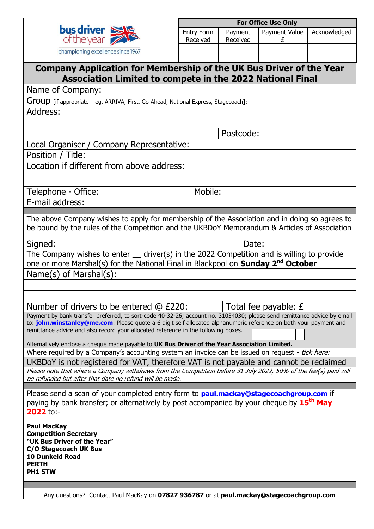

| <b>For Office Use Only</b> |                     |                              |  |  |  |  |
|----------------------------|---------------------|------------------------------|--|--|--|--|
| Entry Form<br>Received     | Payment<br>Received | Payment Value   Acknowledged |  |  |  |  |
|                            |                     |                              |  |  |  |  |

| Undre your property                                                                                                                                                                                                                                                                                                                                                                                                                 |           |       |                        |  |  |  |
|-------------------------------------------------------------------------------------------------------------------------------------------------------------------------------------------------------------------------------------------------------------------------------------------------------------------------------------------------------------------------------------------------------------------------------------|-----------|-------|------------------------|--|--|--|
| championing excellence since 1967                                                                                                                                                                                                                                                                                                                                                                                                   |           |       |                        |  |  |  |
| Company Application for Membership of the UK Bus Driver of the Year<br><b>Association Limited to compete in the 2022 National Final</b>                                                                                                                                                                                                                                                                                             |           |       |                        |  |  |  |
| Name of Company:                                                                                                                                                                                                                                                                                                                                                                                                                    |           |       |                        |  |  |  |
| Group [if appropriate – eg. ARRIVA, First, Go-Ahead, National Express, Stagecoach]:                                                                                                                                                                                                                                                                                                                                                 |           |       |                        |  |  |  |
| Address:                                                                                                                                                                                                                                                                                                                                                                                                                            |           |       |                        |  |  |  |
|                                                                                                                                                                                                                                                                                                                                                                                                                                     |           |       |                        |  |  |  |
|                                                                                                                                                                                                                                                                                                                                                                                                                                     | Postcode: |       |                        |  |  |  |
| Local Organiser / Company Representative:                                                                                                                                                                                                                                                                                                                                                                                           |           |       |                        |  |  |  |
| Position / Title:                                                                                                                                                                                                                                                                                                                                                                                                                   |           |       |                        |  |  |  |
| Location if different from above address:                                                                                                                                                                                                                                                                                                                                                                                           |           |       |                        |  |  |  |
| Telephone - Office:                                                                                                                                                                                                                                                                                                                                                                                                                 | Mobile:   |       |                        |  |  |  |
| E-mail address:                                                                                                                                                                                                                                                                                                                                                                                                                     |           |       |                        |  |  |  |
| The above Company wishes to apply for membership of the Association and in doing so agrees to<br>be bound by the rules of the Competition and the UKBDoY Memorandum & Articles of Association<br>Signed:                                                                                                                                                                                                                            |           | Date: |                        |  |  |  |
| The Company wishes to enter $\_\_$ driver(s) in the 2022 Competition and is willing to provide                                                                                                                                                                                                                                                                                                                                      |           |       |                        |  |  |  |
| one or more Marshal(s) for the National Final in Blackpool on <b>Sunday 2<sup>nd</sup> October</b>                                                                                                                                                                                                                                                                                                                                  |           |       |                        |  |  |  |
| $Name(s)$ of Marshal $(s)$ :                                                                                                                                                                                                                                                                                                                                                                                                        |           |       |                        |  |  |  |
|                                                                                                                                                                                                                                                                                                                                                                                                                                     |           |       |                        |  |  |  |
|                                                                                                                                                                                                                                                                                                                                                                                                                                     |           |       |                        |  |  |  |
| Number of drivers to be entered @ £220:                                                                                                                                                                                                                                                                                                                                                                                             |           |       | Total fee payable: $E$ |  |  |  |
| Payment by bank transfer preferred, to sort-code 40-32-26; account no. 31034030; please send remittance advice by email<br>to: john.winstanley@me.com. Please quote a 6 digit self allocated alphanumeric reference on both your payment and<br>remittance advice and also record your allocated reference in the following boxes.<br>Alternatively enclose a cheque made payable to UK Bus Driver of the Year Association Limited. |           |       |                        |  |  |  |
| Where required by a Company's accounting system an invoice can be issued on request - tick here:                                                                                                                                                                                                                                                                                                                                    |           |       |                        |  |  |  |
| UKBDoY is not registered for VAT, therefore VAT is not payable and cannot be reclaimed<br>Please note that where a Company withdraws from the Competition before 31 July 2022, 50% of the fee(s) paid will<br>be refunded but after that date no refund will be made.                                                                                                                                                               |           |       |                        |  |  |  |
| Please send a scan of your completed entry form to <b>paul.mackay@stagecoachgroup.com</b> if<br>paying by bank transfer; or alternatively by post accompanied by your cheque by 15 <sup>th</sup> May<br>2022 to:-                                                                                                                                                                                                                   |           |       |                        |  |  |  |
| <b>Paul MacKay</b><br><b>Competition Secretary</b><br>"UK Bus Driver of the Year"<br>C/O Stagecoach UK Bus<br><b>10 Dunkeld Road</b><br><b>PERTH</b><br>PH1 5TW                                                                                                                                                                                                                                                                     |           |       |                        |  |  |  |

Any questions? Contact Paul MacKay on **07827 936787** or at **[paul.mackay@stagecoachgroup.com](mailto:paul.mackay@stagecoachgroup.com)**